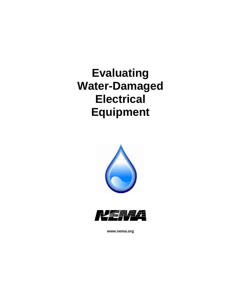# **Evaluating Water-Damaged Electrical Equipment**





**www.nema.org**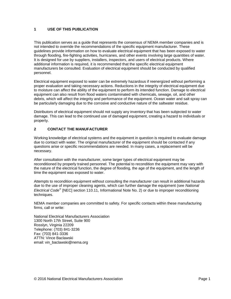#### **1 USE OF THIS PUBLICATION**

This publication serves as a guide that represents the consensus of NEMA member companies and is not intended to override the recommendations of the specific equipment manufacturer. These guidelines provide information on how to evaluate electrical equipment that has been exposed to water through flooding, fire-fighting activities, hurricanes, and other events involving large quantities of water. It is designed for use by suppliers, installers, inspectors, and users of electrical products. Where additional information is required, it is recommended that the specific electrical equipment manufacturers be consulted. Evaluation of electrical equipment should be conducted by qualified personnel.

Electrical equipment exposed to water can be extremely hazardous if reenergized without performing a proper evaluation and taking necessary actions. Reductions in the integrity of electrical equipment due to moisture can affect the ability of the equipment to perform its intended function. Damage to electrical equipment can also result from flood waters contaminated with chemicals, sewage, oil, and other debris, which will affect the integrity and performance of the equipment. Ocean water and salt spray can be particularly damaging due to the corrosive and conductive nature of the saltwater residue.

Distributors of electrical equipment should not supply any inventory that has been subjected to water damage. This can lead to the continued use of damaged equipment, creating a hazard to individuals or property.

#### **2 CONTACT THE MANUFACTURER**

Working knowledge of electrical systems and the equipment in question is required to evaluate damage due to contact with water. The original manufacturer of the equipment should be contacted if any questions arise or specific recommendations are needed. In many cases, a replacement will be necessary.

After consultation with the manufacturer, some larger types of electrical equipment may be reconditioned by properly trained personnel. The potential to recondition the equipment may vary with the nature of the electrical function, the degree of flooding, the age of the equipment, and the length of time the equipment was exposed to water.

Attempts to recondition equipment without consulting the manufacturer can result in additional hazards due to the use of improper cleaning agents, which can further damage the equipment (see *National Electrical Code* [NEC] section 110.11, Informational Note No. 2) or due to improper reconditioning techniques.

NEMA member companies are committed to safety. For specific contacts within these manufacturing firms, call or write:

National Electrical Manufacturers Association 1300 North 17th Street, Suite 900 Rosslyn, Virginia 22209 Telephone: (703) 841-3236 Fax: (703) 841-3336 ATTN: Vince Baclawski email: vin\_baclawski@nema.org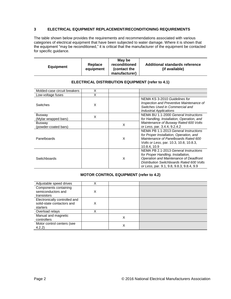#### **3 ELECTRICAL EQUIPMENT REPLACEMENT/RECONDITIONING REQUIREMENTS**

The table shown below provides the requirements and recommendations associated with various categories of electrical equipment that have been subjected to water damage. Where it is shown that the equipment "may be reconditioned," it is critical that the manufacturer of the equipment be contacted for specific guidance.

| <b>Equipment</b> | Replace<br>equipment | May be<br>reconditioned<br>(contact the<br>manufacturer) | Additional standards reference<br>(if available) |
|------------------|----------------------|----------------------------------------------------------|--------------------------------------------------|
|------------------|----------------------|----------------------------------------------------------|--------------------------------------------------|

| Molded-case circuit breakers          | х |   |                                                                                                                                                                                                                 |
|---------------------------------------|---|---|-----------------------------------------------------------------------------------------------------------------------------------------------------------------------------------------------------------------|
| Low-voltage fuses                     | Χ |   |                                                                                                                                                                                                                 |
| <b>Switches</b>                       | X |   | NEMA KS 3-2010 Guidelines for<br>Inspection and Preventive Maintenance of<br>Switches Used in Commercial and<br><b>Industrial Applications</b>                                                                  |
| <b>Busway</b><br>(Mylar wrapped bars) | X |   | NEMA BU 1.1-2000 General Instructions<br>for Handling, Installation, Operation, and                                                                                                                             |
| <b>Busway</b><br>(powder-coated bars) |   | X | Maintenance of Busway Rated 600 Volts<br>or Less, par. 3.4.4, 9.2.4.2                                                                                                                                           |
| Panelboards                           |   | X | NEMA PB 1.1-2013 General Instructions<br>for Proper Installation, Operation, and<br>Maintenance of Panelboards Rated 600<br><i>Volts or Less, par.</i> 10.3, 10.8, 10.8.3,<br>10.8.4.10.9                       |
| Switchboards                          |   | X | NEMA PB 2.1-2013 General Instructions<br>for Proper Handling, Installation,<br>Operation and Maintenance of Deadfront<br>Distribution Switchboards Rated 600 Volts<br>or Less, par. 9.1, 9.8, 9.8.3, 9.8.4, 9.9 |

#### **ELECTRICAL DISTRIBUTION EQUIPMENT (refer to 4.1)**

# **MOTOR CONTROL EQUIPMENT (refer to 4.2)**

| Adjustable speed drives                     | X |   |  |
|---------------------------------------------|---|---|--|
| Components containing<br>semiconductors and | Χ |   |  |
| transistors                                 |   |   |  |
| Electronically controlled and               |   |   |  |
| solid-state contactors and                  | Χ |   |  |
| starters                                    |   |   |  |
| Overload relays                             |   |   |  |
| Manual and magnetic                         |   | Χ |  |
| controllers                                 |   |   |  |
| Motor control centers (see                  |   |   |  |
| 4.2.2)                                      |   | Х |  |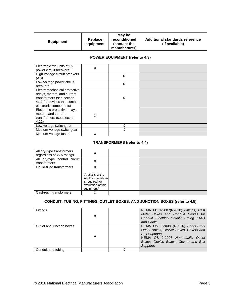|                  |                      | May be                        |                                                  |
|------------------|----------------------|-------------------------------|--------------------------------------------------|
| <b>Equipment</b> | Replace<br>equipment | reconditioned<br>(contact the | Additional standards reference<br>(if available) |
|                  |                      | manufacturer)                 |                                                  |

# **POWER EQUIPMENT (refer to 4.3)**

| Electronic trip units of LV<br>power circuit breakers                                                                                               | X |   |  |
|-----------------------------------------------------------------------------------------------------------------------------------------------------|---|---|--|
| High-voltage circuit breakers<br>(AC)                                                                                                               |   | X |  |
| Low-voltage power circuit<br>breakers                                                                                                               |   | Χ |  |
| Electromechanical protective<br>relays, meters, and current<br>transformers (see section<br>4.11 for devices that contain<br>electronic components) |   | X |  |
| Electronic protective relays,<br>meters, and current<br>transformers (see section<br>4.11)                                                          | X |   |  |
| Low-voltage switchgear                                                                                                                              |   | X |  |
| Medium-voltage switchgear                                                                                                                           |   | X |  |
| Medium-voltage fuses                                                                                                                                | X |   |  |

# **TRANSFORMERS (refer to 4.4)**

| All dry-type transformers<br>regardless of kVA ratings | X                                                                                                  |  |
|--------------------------------------------------------|----------------------------------------------------------------------------------------------------|--|
| All dry-type control circuit<br>transformers           | X                                                                                                  |  |
| Liquid-filled transformers                             | X<br>(Analysis of the<br>insulating medium<br>is required for<br>evaluation of this<br>equipment.) |  |
| Cast-resin transformers                                | X                                                                                                  |  |

# **CONDUIT, TUBING, FITTINGS, OUTLET BOXES, AND JUNCTION BOXES (refer to 4.5)**

| <b>Fittings</b>           | Х | NEMA FB 1-2007(R2010) Fittings, Cast<br>Metal Boxes and Conduit Bodies for<br>Conduit, Electrical Metallic Tubing (EMT)<br>and Cable                                                               |
|---------------------------|---|----------------------------------------------------------------------------------------------------------------------------------------------------------------------------------------------------|
| Outlet and junction boxes | X | NEMA OS 1-2008 (R2010) Sheet-Steel<br>Outlet Boxes, Device Boxes, Covers and<br><b>Box Supports</b><br>NEMA OS 2-2008 Nonmetallic Outlet<br>Boxes, Device Boxes, Covers and Box<br><b>Supports</b> |
| Conduit and tubing        |   |                                                                                                                                                                                                    |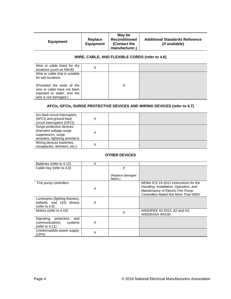| <b>Equipment</b> | Replace<br><b>Equipment</b> | May be<br><b>Reconditioned</b><br>(Contact the<br>manufacturer.) | <b>Additional Standards Reference</b><br>(if available) |
|------------------|-----------------------------|------------------------------------------------------------------|---------------------------------------------------------|
|------------------|-----------------------------|------------------------------------------------------------------|---------------------------------------------------------|

# **WIRE, CABLE, AND FLEXIBLE CORDS (refer to 4.6)**

| Wire or cable listed for dry<br>locations (such as NM-B)                                                       |  |  |
|----------------------------------------------------------------------------------------------------------------|--|--|
| Wire or cable that is suitable<br>for wet locations                                                            |  |  |
| (Provided the ends of the<br>wire or cable have not been<br>exposed to water, and the<br>wire is not damaged.) |  |  |

# **AFCIs, GFCIs, SURGE PROTECTIVE DEVICES AND WIRING DEVICES (refer to 4.7)**

| Arc-fault circuit interrupters<br>(AFCI) and ground-fault<br>circuit interrupters (GFCI)                      | X |  |
|---------------------------------------------------------------------------------------------------------------|---|--|
| Surge-protective devices<br>(transient voltage surge<br>suppressors, surge<br>arresters, lightning arresters) | Χ |  |
| Wiring devices (switches,<br>receptacles, dimmers, etc.)                                                      | х |  |

#### **OTHER DEVICES**

| Batteries (refer to 4.12)                                                           | х |                              |                                                                                                                                                              |
|-------------------------------------------------------------------------------------|---|------------------------------|--------------------------------------------------------------------------------------------------------------------------------------------------------------|
| Cable tray (refer to 4.8)                                                           |   | х                            |                                                                                                                                                              |
|                                                                                     |   | (Replace damaged<br>labels.) |                                                                                                                                                              |
| `Fire pump controllers                                                              | X |                              | NEMA ICS 15-2011 Instructions for the<br>Handling, Installation, Operation, and<br>Maintenance of Electric Fire Pump<br>Controllers Rated Not More Than 600V |
| Luminaires (lighting fixtures),<br>ballasts, and LED drivers<br>(refer to $4.9$ )   | X |                              |                                                                                                                                                              |
| Motors (refer to 4.10)                                                              |   | X                            | ANSI/IEEE 43-2013, A2 and A3,<br>ANSI/EASA AR100                                                                                                             |
| Signaling,<br>protection,<br>and<br>communications<br>systems<br>(refer to $4.11$ ) | X |                              |                                                                                                                                                              |
| Uninterruptible power supply<br>(UPS)                                               | X |                              |                                                                                                                                                              |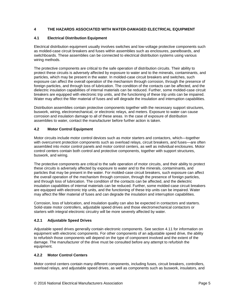# **4 THE HAZARDS ASSOCIATED WITH WATER-DAMAGED ELECTRICAL EQUIPMENT**

#### **4.1 Electrical Distribution Equipment**

Electrical distribution equipment usually involves switches and low-voltage protective components such as molded-case circuit breakers and fuses within assemblies such as enclosures, panelboards, and switchboards. These assemblies can be connected to electrical distribution systems using various wiring methods.

The protective components are critical to the safe operation of distribution circuits. Their ability to protect these circuits is adversely affected by exposure to water and to the minerals, contaminants, and particles, which may be present in the water. In molded-case circuit breakers and switches, such exposure can affect the overall operation of the mechanism through corrosion, through the presence of foreign particles, and through loss of lubrication. The condition of the contacts can be affected, and the dielectric insulation capabilities of internal materials can be reduced. Further, some molded-case circuit breakers are equipped with electronic trip units, and the functioning of these trip units can be impaired. Water may affect the filler material of fuses and will degrade the insulation and interruption capabilities.

Distribution assemblies contain protective components together with the necessary support structures, buswork, wiring, electromechanical, or electronic relays, and meters. Exposure to water can cause corrosion and insulation damage to all of these areas. In the case of exposure of distribution assemblies to water, contact the manufacturer before further action is taken.

#### **4.2 Motor Control Equipment**

Motor circuits include motor control devices such as motor starters and contactors, which—together with overcurrent protection components such as overload relays, circuit breakers, and fuses—are often assembled into motor control panels and motor control centers, as well as individual enclosures. Motor control centers contain both control and protective components, together with support structures, buswork, and wiring.

The protective components are critical to the safe operation of motor circuits, and their ability to protect these circuits is adversely affected by exposure to water and to the minerals, contaminants, and particles that may be present in the water. For molded-case circuit breakers, such exposure can affect the overall operation of the mechanism through corrosion, through the presence of foreign particles, and through loss of lubrication. The condition of the contacts can be affected, and the dielectric insulation capabilities of internal materials can be reduced. Further, some molded-case circuit breakers are equipped with electronic trip units, and the functioning of these trip units can be impaired. Water may affect the filler material of fuses and can degrade the insulation and interruption capabilities.

Corrosion, loss of lubrication, and insulation quality can also be expected in contactors and starters. Solid-state motor controllers, adjustable speed drives and those electromechanical contactors or starters with integral electronic circuitry will be more severely affected by water.

#### **4.2.1 Adjustable Speed Drives**

Adjustable speed drives generally contain electronic components. See section 4.11 for information on equipment with electronic components. For other components of an adjustable speed drive, the ability to refurbish those components will depend on the type of component involved and the extent of the damage. The manufacturer of the drive must be consulted before any attempt to refurbish the equipment.

#### **4.2.2 Motor Control Centers**

Motor control centers contain many different components, including fuses, circuit breakers, controllers, overload relays, and adjustable speed drives, as well as components such as buswork, insulators, and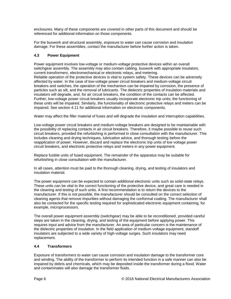enclosures. Many of these components are covered in other parts of this document and should be referenced for additional information on those components.

For the buswork and structural assembly, exposure to water can cause corrosion and insulation damage. For these assemblies, contact the manufacturer before further action is taken.

# **4.3 Power Equipment**

Power equipment involves low-voltage or medium-voltage protective devices within an overall switchgear assembly. The assembly may also contain cabling, buswork with appropriate insulators, current transformers, electromechanical or electronic relays, and metering. Reliable operation of the protective devices is vital to system safety. These devices can be adversely affected by water. In the case of low-voltage power circuit breakers and medium-voltage circuit breakers and switches, the operation of the mechanism can be impaired by corrosion, the presence of particles such as silt, and the removal of lubricants. The dielectric properties of insulation materials and insulators will degrade, and, for air circuit breakers, the condition of the contacts can be affected. Further, low-voltage power circuit breakers usually incorporate electronic trip units; the functioning of these units will be impaired. Similarly, the functionality of electronic protective relays and meters can be impaired. See section 4.11 for additional information on electronic components.

Water may affect the filler material of fuses and will degrade the insulation and interruption capabilities.

Low-voltage power circuit breakers and medium-voltage breakers are designed to be maintainable with the possibility of replacing contacts in air circuit breakers. Therefore, it maybe possible to reuse such circuit breakers, provided the refurbishing is performed in close consultation with the manufacturer. This includes cleaning and drying techniques, lubrication advice, and thorough testing before the reapplication of power. However, discard and replace the electronic trip units of low voltage power circuit breakers, and electronic protective relays and meters in any power equipment.

Replace fusible units of fused equipment. The remainder of the apparatus may be suitable for refurbishing in close consultation with the manufacturer.

In all cases, attention must be paid to the thorough cleaning, drying, and testing of insulators and insulation material.

The power equipment can be expected to contain additional electronic units such as solid-state relays. These units can be vital to the correct functioning of the protective device, and great care is needed in the cleaning and testing of such units. A first recommendation is to return the devices to the manufacturer. If this is not possible, the manufacturer should be consulted on the correct selection of cleaning agents that remove impurities without damaging the conformal coating. The manufacturer shall also be contacted for the specific testing required for sophisticated electronic equipment containing, for example, microprocessors.

The overall power equipment assembly (switchgear) may be able to be reconditioned, provided careful steps are taken in the cleaning, drying, and testing of the equipment before applying power. This requires input and advice from the manufacturer. An area of particular concern is the maintenance of the dielectric properties of insulation. In the field application of medium-voltage equipment, standoff insulators are subjected to a wide variety of high-voltage surges. Such insulators may need replacement.

#### **4.4 Transformers**

Exposure of transformers to water can cause corrosion and insulation damage to the transformer core and winding. The ability of the transformer to perform its intended function in a safe manner can also be impaired by debris and chemicals, which may be deposited inside the transformer during a flood. Water and contaminates will also damage the transformer fluids.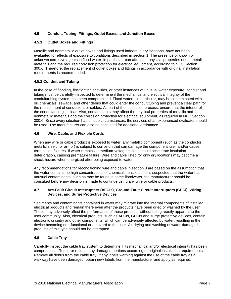# **4.5 Conduit, Tubing, Fittings, Outlet Boxes, and Junction Boxes**

#### **4.5.1 Outlet Boxes and Fittings**

Metallic and nonmetallic outlet boxes and fittings used indoors in dry locations, have not been evaluated for effects of exposure to conditions described in section 1. The presence of known or unknown corrosive agents in flood water, in particular, can affect the physical properties of nonmetallic materials and the required corrosion protection for electrical equipment, according to NEC Section 300.6. Therefore, the replacement of outlet boxes and fittings in accordance with original installation requirements is recommended.

# **4.5.2 Conduit and Tubing**

In the case of flooding, fire-fighting activities, or other instances of unusual water exposure, conduit and tubing must be carefully inspected to determine if the mechanical and electrical integrity of the conduit/tubing system has been compromised. Flood waters, in particular, may be contaminated with oil, chemicals, sewage, and other debris that could enter the conduit/tubing and prevent a clear path for the replacement of conductors or cables. As part of the inspection process, ensure that the interior of the conduit/tubing is clear. Also, contaminants may affect the physical properties of metallic and nonmetallic materials and the corrosion protection for electrical equipment, as required in NEC Section 300.6. Since every situation has unique circumstances, the services of an experienced evaluator should be used. The manufacturer can also be consulted for additional assistance.

#### **4.6 Wire, Cable, and Flexible Cords**

When any wire or cable product is exposed to water, any metallic component (such as the conductor, metallic shield, or armor) is subject to corrosion that can damage the component itself and/or cause termination failures. If water remains in medium-voltage cable, it could accelerate insulation deterioration, causing premature failure. Wire and cable listed for only dry locations may become a shock hazard when energized after being exposed to water.

Any recommendations for reconditioning wire and cable in section 3 are based on the assumption that the water contains no high concentrations of chemicals, oils, etc. If it is suspected that the water has unusual contaminants, such as may be found in some floodwater, the manufacturer should be consulted before any decision is made to continue using any wire or cable products.

#### **4.7 Arc-Fault Circuit Interrupters (AFCIs), Ground-Fault Circuit Interrupters (GFCI), Wiring Devices, and Surge Protective Devices**

Sediments and contaminants contained in water may migrate into the internal components of installed electrical products and remain there even after the products have been dried or washed by the user. These may adversely affect the performance of those products without being readily apparent to the user community. Also, electrical products, such as AFCIs, GFCIs and surge protective devices, contain electronic circuitry and other components, which can be adversely affected by water, resulting in the device becoming non-functional or a hazard to the user. Air drying and washing of water-damaged products of this type should not be attempted.

#### **4.8 Cable Tray**

Carefully inspect the cable tray system to determine if its mechanical and/or electrical integrity has been compromised. Repair or replace any damaged portions according to original installation requirements. Remove all debris from the cable tray. If any labels warning against the use of the cable tray as a walkway have been damaged, obtain new labels from the manufacturer and apply as required.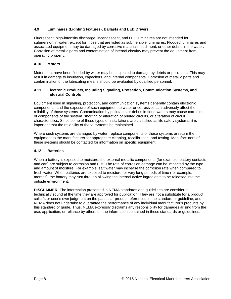### **4.9 Luminaires (Lighting Fixtures), Ballasts and LED Drivers**

Fluorescent, high-intensity discharge, incandescent, and LED luminaires are not intended for submersion in water, except for those that are listed as submersible luminaires. Flooded luminaires and associated equipment may be damaged by corrosive materials, sediment, or other debris in the water. Corrosion of metallic parts and contamination of internal circuitry may prevent the equipment from operating properly.

#### **4.10 Motors**

Motors that have been flooded by water may be subjected to damage by debris or pollutants. This may result in damage to insulation, capacitors, and internal components. Corrosion of metallic parts and contamination of the lubricating means should be evaluated by qualified personnel.

#### **4.11 Electronic Products, Including Signaling, Protection, Communication Systems, and Industrial Controls**

Equipment used in signaling, protection, and communication systems generally contain electronic components, and the exposure of such equipment to water or corrosives can adversely affect the reliability of those systems. Contamination by pollutants or debris in flood waters may cause corrosion of components of the system, shorting or alteration of printed circuits, or alteration of circuit characteristics. Since some of these types of installations are classified as life safety systems, it is important that the reliability of those systems be maintained.

Where such systems are damaged by water, replace components of these systems or return the equipment to the manufacturer for appropriate cleaning, recalibration, and testing. Manufacturers of these systems should be contacted for information on specific equipment.

#### **4.12 Batteries**

When a battery is exposed to moisture, the external metallic components (for example, battery contacts and can) are subject to corrosion and rust. The rate of corrosion damage can be impacted by the type and amount of moisture. For example, salt water may increase the corrosion rate when compared to fresh water. When batteries are exposed to moisture for very long periods of time (for example, months), the battery may rust through allowing the internal active ingredients to be released into the outside environment.

**DISCLAIMER:** The information presented in NEMA standards and guidelines are considered technically sound at the time they are approved for publication. They are not a substitute for a product seller's or user's own judgment on the particular product referenced in the standard or guideline, and NEMA does not undertake to guarantee the performance of any individual manufacturer's products by this standard or guide. Thus, NEMA expressly disclaims any responsibility for damages arising from the use, application, or reliance by others on the information contained in these standards or guidelines.